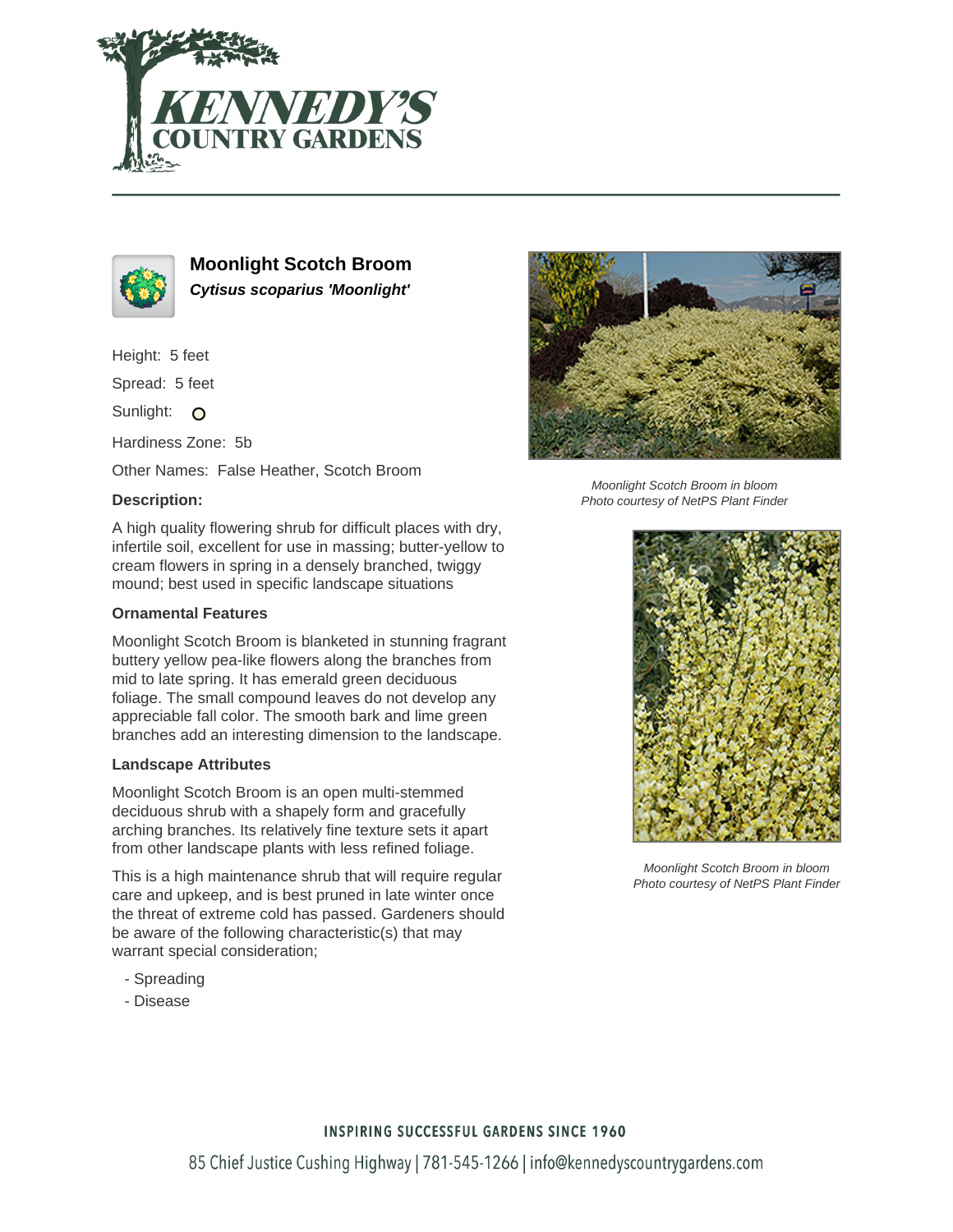



**Moonlight Scotch Broom Cytisus scoparius 'Moonlight'**

Height: 5 feet

Spread: 5 feet

Sunlight: O

Hardiness Zone: 5b

Other Names: False Heather, Scotch Broom

## **Description:**

A high quality flowering shrub for difficult places with dry, infertile soil, excellent for use in massing; butter-yellow to cream flowers in spring in a densely branched, twiggy mound; best used in specific landscape situations

## **Ornamental Features**

Moonlight Scotch Broom is blanketed in stunning fragrant buttery yellow pea-like flowers along the branches from mid to late spring. It has emerald green deciduous foliage. The small compound leaves do not develop any appreciable fall color. The smooth bark and lime green branches add an interesting dimension to the landscape.

## **Landscape Attributes**

Moonlight Scotch Broom is an open multi-stemmed deciduous shrub with a shapely form and gracefully arching branches. Its relatively fine texture sets it apart from other landscape plants with less refined foliage.

This is a high maintenance shrub that will require regular care and upkeep, and is best pruned in late winter once the threat of extreme cold has passed. Gardeners should be aware of the following characteristic(s) that may warrant special consideration;

- Spreading
- Disease



Moonlight Scotch Broom in bloom Photo courtesy of NetPS Plant Finder



Moonlight Scotch Broom in bloom Photo courtesy of NetPS Plant Finder